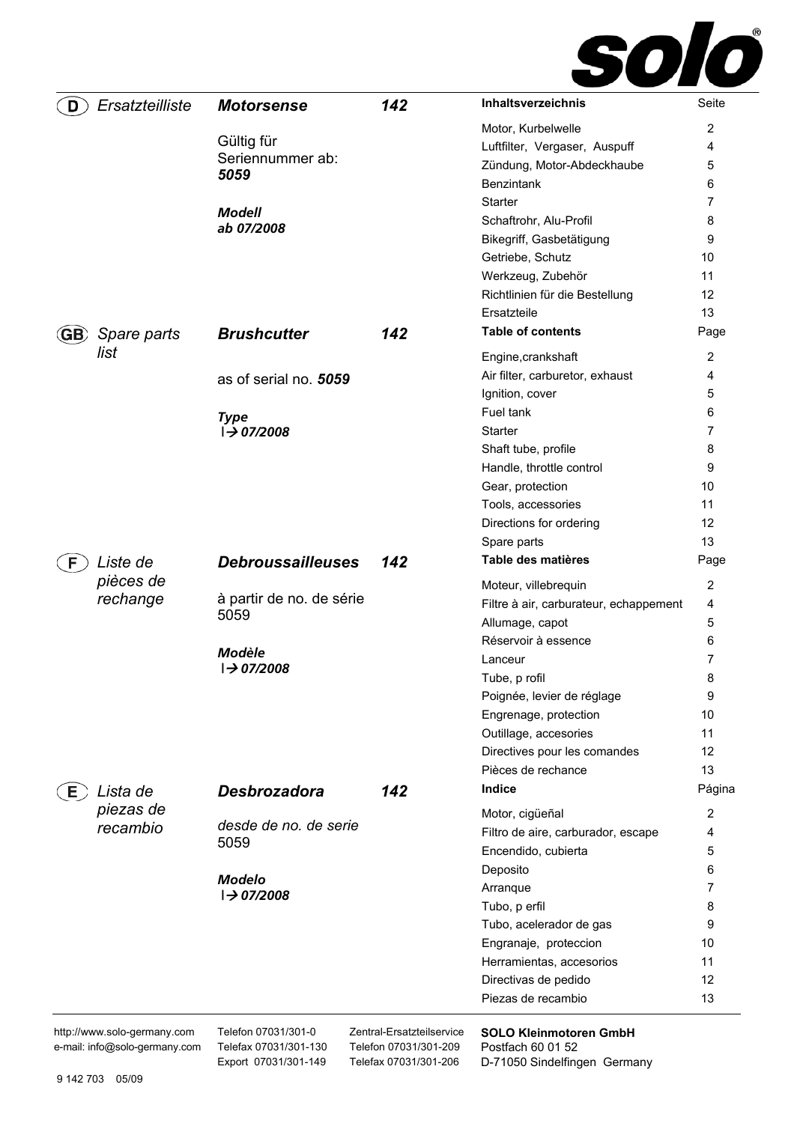

| D  | Ersatzteilliste | <b>Motorsense</b>                      | 142 | Inhaltsverzeichnis                         | Seite  |
|----|-----------------|----------------------------------------|-----|--------------------------------------------|--------|
|    |                 |                                        |     | Motor, Kurbelwelle                         | 2      |
|    |                 | Gültig für                             |     | Luftfilter, Vergaser, Auspuff              | 4      |
|    |                 | Seriennummer ab:                       |     | Zündung, Motor-Abdeckhaube                 | 5      |
|    |                 | 5059                                   |     | <b>Benzintank</b>                          | 6      |
|    |                 |                                        |     | Starter                                    | 7      |
|    |                 | <b>Modell</b>                          |     | Schaftrohr, Alu-Profil                     | 8      |
|    |                 | ab 07/2008                             |     | Bikegriff, Gasbetätigung                   | 9      |
|    |                 |                                        |     | Getriebe, Schutz                           | 10     |
|    |                 |                                        |     | Werkzeug, Zubehör                          | 11     |
|    |                 |                                        |     | Richtlinien für die Bestellung             | 12     |
|    |                 |                                        |     | Ersatzteile                                | 13     |
|    | Spare parts     | <b>Brushcutter</b>                     | 142 | <b>Table of contents</b>                   | Page   |
|    | list            |                                        |     | Engine, crankshaft                         | 2      |
|    |                 | as of serial no. 5059                  |     | Air filter, carburetor, exhaust            | 4      |
|    |                 |                                        |     | Ignition, cover                            | 5      |
|    |                 |                                        |     | Fuel tank                                  | 6      |
|    |                 | <b>Type</b><br>$\frac{1}{2}$ 07/2008   |     | Starter                                    | 7      |
|    |                 |                                        |     | Shaft tube, profile                        | 8      |
|    |                 |                                        |     | Handle, throttle control                   | 9      |
|    |                 |                                        |     | Gear, protection                           | 10     |
|    |                 |                                        |     | Tools, accessories                         | 11     |
|    |                 |                                        |     | Directions for ordering                    | 12     |
|    |                 |                                        |     | Spare parts                                | 13     |
| F. | Liste de        | <b>Debroussailleuses</b>               | 142 | Table des matières                         | Page   |
|    |                 |                                        |     |                                            |        |
|    |                 |                                        |     |                                            |        |
|    | pièces de       | à partir de no. de série               |     | Moteur, villebrequin                       | 2      |
|    | rechange        | 5059                                   |     | Filtre à air, carburateur, echappement     | 4      |
|    |                 |                                        |     | Allumage, capot                            | 5      |
|    |                 | <b>Modèle</b>                          |     | Réservoir à essence                        | 6      |
|    |                 | $\frac{1}{2}$ 07/2008                  |     | Lanceur                                    | 7      |
|    |                 |                                        |     | Tube, p rofil                              | 8      |
|    |                 |                                        |     | Poignée, levier de réglage                 | 9      |
|    |                 |                                        |     | Engrenage, protection                      | 10     |
|    |                 |                                        |     | Outillage, accesories                      | 11     |
|    |                 |                                        |     | Directives pour les comandes               | 12     |
|    |                 |                                        |     | Pièces de rechance                         | 13     |
| E. | Lista de        | <b>Desbrozadora</b>                    | 142 | Indice                                     | Página |
|    | piezas de       |                                        |     | Motor, cigüeñal                            | 2      |
|    | recambio        | desde de no. de serie                  |     | Filtro de aire, carburador, escape         | 4      |
|    |                 | 5059                                   |     | Encendido, cubierta                        | 5      |
|    |                 |                                        |     | Deposito                                   | 6      |
|    |                 | <b>Modelo</b><br>$\rightarrow 07/2008$ |     | Arranque                                   | 7      |
|    |                 |                                        |     | Tubo, p erfil                              | 8      |
|    |                 |                                        |     | Tubo, acelerador de gas                    | 9      |
|    |                 |                                        |     | Engranaje, proteccion                      | 10     |
|    |                 |                                        |     | Herramientas, accesorios                   | 11     |
|    |                 |                                        |     | Directivas de pedido<br>Piezas de recambio | 12     |

http://www.solo-germany.com e-mail: info@solo-germany.com Telefon 07031/301-0 Telefax 07031/301-130 Export 07031/301-149 Zentral-Ersatzteilservice Telefon 07031/301-209 Telefax 07031/301-206

**SOLO Kleinmotoren GmbH**  Postfach 60 01 52 D-71050 Sindelfingen Germany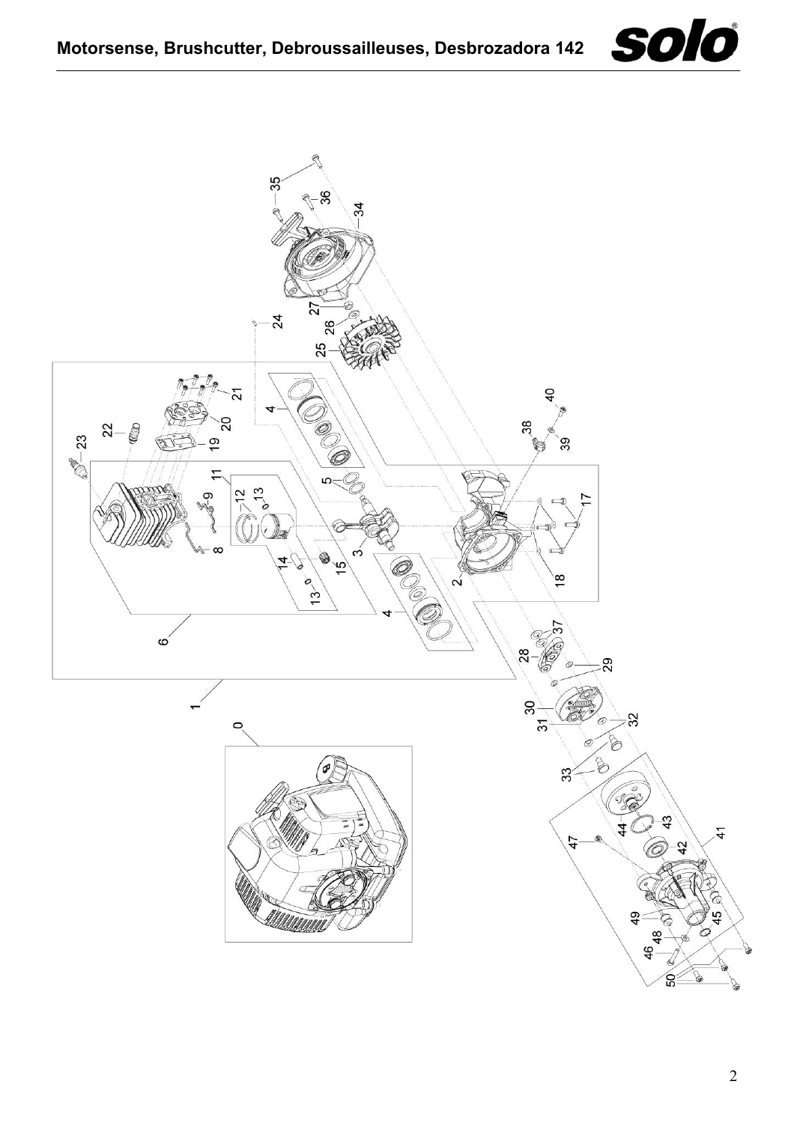

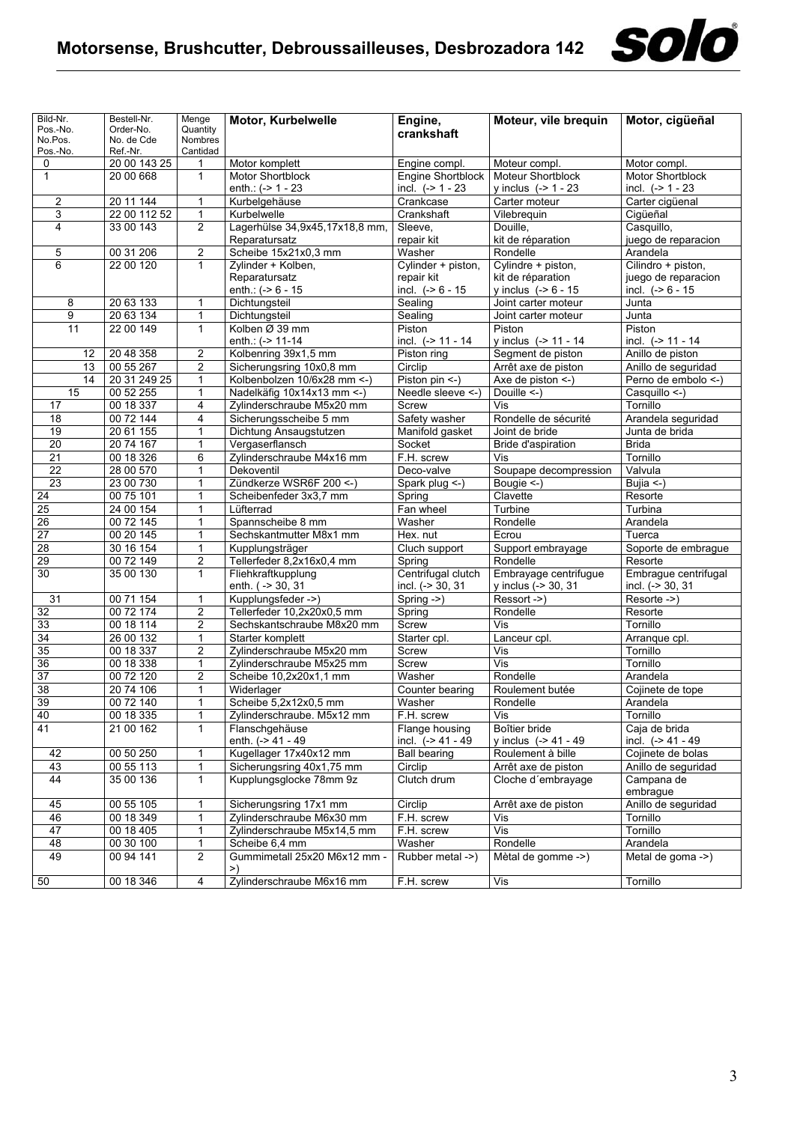# Motorsense, Brushcutter, Debroussailleuses, Desbrozadora 142 **SOIO**



| Bild-Nr.            | Bestell-Nr.            | Menge               | Motor, Kurbelwelle                             | Engine,                                | Moteur, vile brequin                         | Motor, cigüeñal                          |
|---------------------|------------------------|---------------------|------------------------------------------------|----------------------------------------|----------------------------------------------|------------------------------------------|
| Pos.-No.            | Order-No.              | Quantity            |                                                | crankshaft                             |                                              |                                          |
| No.Pos.<br>Pos.-No. | No. de Cde<br>Ref.-Nr. | Nombres<br>Cantidad |                                                |                                        |                                              |                                          |
| 0                   | 20 00 143 25           | 1                   | Motor komplett                                 | Engine compl.                          | Moteur compl.                                | Motor compl.                             |
| $\mathbf{1}$        | 20 00 668              | 1                   | Motor Shortblock                               | Engine Shortblock                      | <b>Moteur Shortblock</b>                     | Motor Shortblock                         |
|                     |                        |                     | enth.: $(-21 - 23)$                            | incl. $(-> 1 - 23$                     | y inclus $(-> 1 - 23$                        | incl. $(-> 1 - 23$                       |
| $\overline{2}$      | 20 11 144              | 1                   | Kurbelgehäuse                                  | Crankcase                              | Carter moteur                                | Carter cigüenal                          |
| 3                   | 22 00 112 52           | $\mathbf{1}$        | Kurbelwelle                                    | Crankshaft                             | Vilebrequin                                  | Cigüeñal                                 |
| $\overline{4}$      | 33 00 143              | $\overline{2}$      | Lagerhülse 34,9x45,17x18,8 mm,                 | Sleeve,                                | Douille.                                     | Casquillo,                               |
|                     |                        |                     | Reparatursatz                                  | repair kit                             | kit de réparation                            | juego de reparacion                      |
| 5                   | 00 31 206              | $\overline{2}$      | Scheibe 15x21x0, 3 mm                          | Washer                                 | Rondelle                                     | Arandela                                 |
| 6                   | 22 00 120              | $\mathbf{1}$        | Zylinder + Kolben,                             | Cylinder + piston,                     | Cylindre + piston,                           | Cilindro + piston,                       |
|                     |                        |                     | Reparatursatz                                  | repair kit                             | kit de réparation                            | juego de reparacion                      |
|                     |                        |                     | enth.: $(-8) - 15$                             | incl. $(-8)$ - 15                      | y inclus $(-8 - 15)$                         | incl. $(-8)$ - 15                        |
| 8                   | 20 63 133              | 1                   | Dichtungsteil                                  | Sealing                                | Joint carter moteur                          | Junta                                    |
| 9                   | 20 63 134              | $\mathbf{1}$        | Dichtungsteil                                  | Sealing                                | Joint carter moteur                          | Junta                                    |
| 11                  | 22 00 149              | $\mathbf{1}$        | Kolben Ø 39 mm                                 | Piston                                 | Piston                                       | Piston                                   |
|                     |                        |                     | enth.: (-> 11-14                               | incl. $(-> 11 - 14$                    | y inclus (-> 11 - 14                         | incl. $(-> 11 - 14$                      |
| 12                  | 20 48 358              | $\overline{c}$      | Kolbenring 39x1,5 mm                           | Piston ring                            | Segment de piston                            | Anillo de piston                         |
| 13                  | 00 55 267              | $\overline{2}$      | Sicherungsring 10x0,8 mm                       | Circlip                                | Arrêt axe de piston                          | Anillo de seguridad                      |
| 14                  | 20 31 249 25           | $\mathbf{1}$        | Kolbenbolzen 10/6x28 mm <- )                   | Piston pin <- )                        | Axe de piston <-)                            | Perno de embolo <-)                      |
| 15                  | 00 52 255              | 1                   | Nadelkäfig 10x14x13 mm <- )                    | Needle sleeve <- )                     | Douille $\leq$ -)                            | Casquillo <-)                            |
| 17                  | 00 18 337              | 4                   | Zylinderschraube M5x20 mm                      | Screw                                  | Vis                                          | Tornillo                                 |
| 18                  | 00 72 144              | 4                   | Sicherungsscheibe 5 mm                         | Safety washer                          | Rondelle de sécurité                         | Arandela seguridad                       |
| 19                  | 20 61 155              | 1                   | Dichtung Ansaugstutzen                         | Manifold gasket                        | Joint de bride                               | Junta de brida                           |
| 20                  | 20 74 167              | $\mathbf{1}$        | Vergaserflansch                                | Socket                                 | Bride d'aspiration                           | <b>Brida</b>                             |
| $\overline{21}$     |                        |                     |                                                | F.H. screw                             | Vis                                          | Tornillo                                 |
| $\overline{22}$     | 00 18 326              | 6<br>$\mathbf{1}$   | Zylinderschraube M4x16 mm                      |                                        |                                              |                                          |
| 23                  | 28 00 570<br>23 00 730 |                     | Dekoventil<br>Zündkerze WSR6F 200 <- )         | Deco-valve                             | Soupape decompression                        | Valvula<br>Bujia $\leq$ -)               |
|                     |                        | $\mathbf{1}$        |                                                | Spark plug $\leq$ -)                   | Bougie <- )<br>Clavette                      |                                          |
| 24                  | 00 75 101              | 1                   | Scheibenfeder 3x3,7 mm                         | Spring                                 |                                              | Resorte                                  |
| $\overline{25}$     | 24 00 154              | $\mathbf{1}$        | Lüfterrad                                      | Fan wheel                              | Turbine                                      | Turbina                                  |
| 26                  | 00 72 145              | 1                   | Spannscheibe 8 mm                              | Washer                                 | Rondelle                                     | Arandela                                 |
| 27                  | 00 20 145              | $\mathbf{1}$        | Sechskantmutter M8x1 mm                        | Hex. nut                               | Ecrou                                        | Tuerca                                   |
| $\overline{28}$     | 30 16 154              | $\mathbf{1}$        | Kupplungsträger                                | Cluch support                          | Support embrayage                            | Soporte de embrague                      |
| 29                  | 00 72 149              | $\overline{c}$      | Tellerfeder 8,2x16x0,4 mm                      | Spring                                 | Rondelle                                     | Resorte                                  |
| 30                  | 35 00 130              | $\mathbf{1}$        | Fliehkraftkupplung<br>enth. ( -> 30, 31        | Centrifugal clutch<br>incl. (-> 30, 31 | Embrayage centrifugue<br>y inclus (-> 30, 31 | Embrague centrifugal<br>incl. (-> 30, 31 |
| 31                  | 00 71 154              | $\mathbf{1}$        | Kupplungsfeder ->)                             | Spring ->)                             | Ressort ->)                                  | Resorte ->)                              |
| 32                  | 00 72 174              | $\overline{c}$      | Tellerfeder 10,2x20x0,5 mm                     | Spring                                 | Rondelle                                     | Resorte                                  |
| 33                  | 00 18 114              | 2                   | Sechskantschraube M8x20 mm                     | Screw                                  | Vis                                          | Tornillo                                 |
| 34                  | 26 00 132              | $\mathbf{1}$        | Starter komplett                               | Starter cpl.                           | Lanceur cpl.                                 | Arranque cpl.                            |
| 35                  | 00 18 337              | $\overline{2}$      | Zylinderschraube M5x20 mm                      | Screw                                  | Vis                                          | Tornillo                                 |
| 36                  | 00 18 338              | 1                   | Zylinderschraube M5x25 mm                      | Screw                                  | Vis                                          | Tornillo                                 |
| $\overline{37}$     | 00 72 120              | $\overline{c}$      | Scheibe 10,2x20x1,1 mm                         | Washer                                 | Rondelle                                     | Arandela                                 |
| 38                  | 20 74 106              | $\mathbf{1}$        | Widerlager                                     | Counter bearing                        | Roulement butée                              | Cojinete de tope                         |
| 39                  | 00 72 140              | $\mathbf{1}$        | Scheibe 5,2x12x0,5 mm                          | Washer                                 | Rondelle                                     | Arandela                                 |
| 40                  | 00 18 335              | 1                   | Zylinderschraube. M5x12 mm                     | F.H. screw                             | Vis                                          | Tornillo                                 |
| 41                  | 21 00 162              | $\mathbf{1}$        | Flanschgehäuse                                 | Flange housing                         | Boîtier bride                                | Caja de brida                            |
|                     |                        |                     | enth. (-> 41 - 49                              | incl. (->41 - 49                       | y inclus $(-> 41 - 49$                       | incl. $(-> 41 - 49$                      |
| 42                  | 00 50 250              | 1                   | Kugellager 17x40x12 mm                         | <b>Ball bearing</b>                    | Roulement à bille                            | Cojinete de bolas                        |
| 43                  | 00 55 113              | 1                   | Sicherungsring 40x1,75 mm                      | Circlip                                | Arrêt axe de piston                          | Anillo de seguridad                      |
| 44                  | 35 00 136              | $\mathbf{1}$        | Kupplungsglocke 78mm 9z                        | Clutch drum                            | Cloche d'embrayage                           | Campana de                               |
| 45                  | 00 55 105              | 1                   | Sicherungsring 17x1 mm                         | Circlip                                |                                              | embrague<br>Anillo de seguridad          |
| 46                  | 00 18 349              | 1                   | Zylinderschraube M6x30 mm                      | F.H. screw                             | Arrêt axe de piston<br>Vis                   | Tornillo                                 |
|                     |                        |                     |                                                |                                        |                                              |                                          |
| 47                  | 00 18 405              | 1                   | Zylinderschraube M5x14,5 mm                    | F.H. screw                             | Vis                                          | Tornillo                                 |
| 48                  | 00 30 100              | $\mathbf{1}$        | Scheibe 6,4 mm<br>Gummimetall 25x20 M6x12 mm - | Washer                                 | Rondelle                                     | Arandela                                 |
| 49                  | 00 94 141              | $\overline{c}$      | >)                                             | Rubber metal ->)                       | Mètal de gomme ->)                           | Metal de goma ->)                        |
| 50                  | 00 18 346              | $\overline{4}$      | Zylinderschraube M6x16 mm                      | F.H. screw                             | Vis                                          | Tornillo                                 |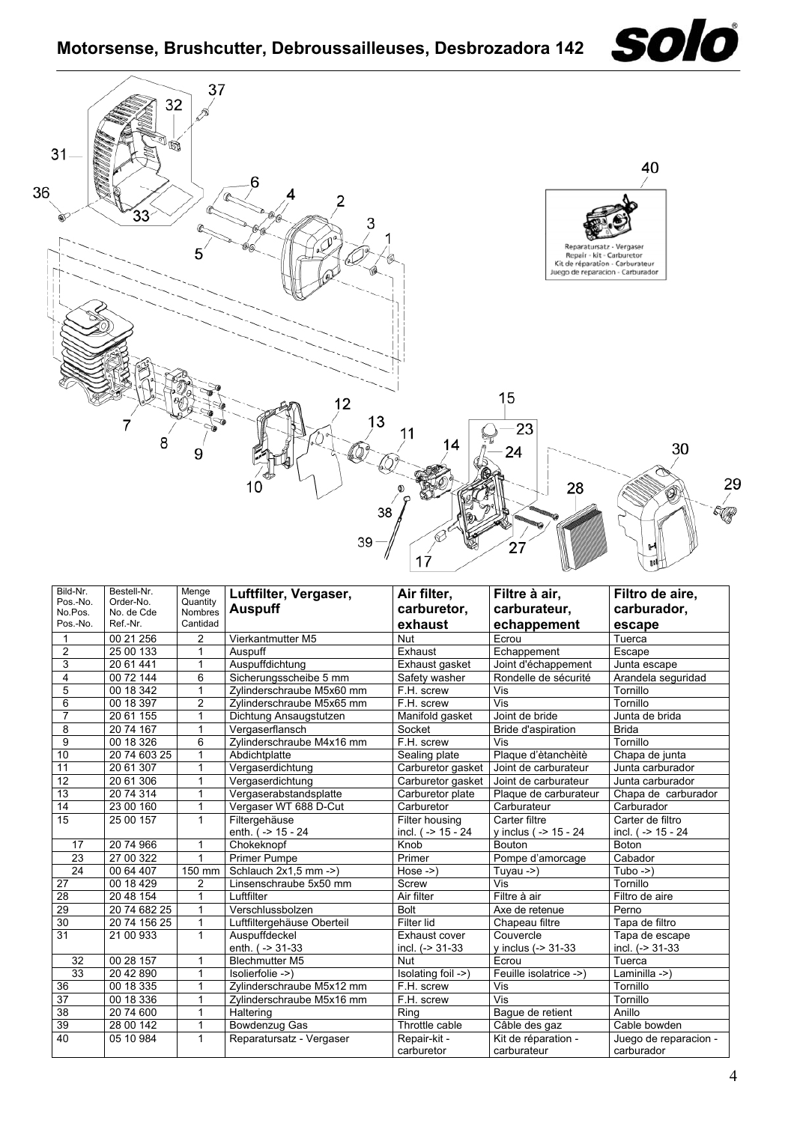



| Bild-Nr.<br>Pos.-No.<br>No.Pos.<br>Pos.-No. | Bestell-Nr.<br>Order-No.<br>No. de Cde<br>Ref.-Nr. | Menge<br>Quantity<br><b>Nombres</b><br>Cantidad | Luftfilter, Vergaser,<br><b>Auspuff</b> | Air filter,<br>carburetor,<br>exhaust | Filtre à air,<br>carburateur,<br>echappement | Filtro de aire,<br>carburador,<br>escape |
|---------------------------------------------|----------------------------------------------------|-------------------------------------------------|-----------------------------------------|---------------------------------------|----------------------------------------------|------------------------------------------|
| 1                                           | 00 21 256                                          | $\overline{2}$                                  | Vierkantmutter M5                       | Nut                                   | Ecrou                                        | Tuerca                                   |
| $\overline{2}$                              | 25 00 133                                          | 1                                               | Auspuff                                 | Exhaust                               | Echappement                                  | Escape                                   |
| 3                                           | 20 61 441                                          | 1                                               | Auspuffdichtung                         | Exhaust gasket                        | Joint d'échappement                          | Junta escape                             |
| $\overline{4}$                              | 00 72 144                                          | 6                                               | Sicherungsscheibe 5 mm                  | Safety washer                         | Rondelle de sécurité                         | Arandela seguridad                       |
| $\overline{5}$                              | 00 18 342                                          | $\mathbf{1}$                                    | Zylinderschraube M5x60 mm               | F.H. screw                            | Vis                                          | Tornillo                                 |
| $\overline{6}$                              | 00 18 397                                          | $\overline{2}$                                  | Zylinderschraube M5x65 mm               | F.H. screw                            | $\overline{\mathsf{Vis}}$                    | Tornillo                                 |
| $\overline{7}$                              | 20 61 155                                          | 1                                               | Dichtung Ansaugstutzen                  | Manifold gasket                       | Joint de bride                               | Junta de brida                           |
| 8                                           | 20 74 167                                          | $\mathbf{1}$                                    | Vergaserflansch                         | Socket                                | Bride d'aspiration                           | <b>Brida</b>                             |
| 9                                           | 00 18 326                                          | 6                                               | Zylinderschraube M4x16 mm               | F.H. screw                            | Vis                                          | Tornillo                                 |
| 10                                          | 20 74 603 25                                       | $\mathbf{1}$                                    | Abdichtplatte                           | Sealing plate                         | Plaque d'ètanchèitè                          | Chapa de junta                           |
| 11                                          | 20 61 307                                          | $\mathbf{1}$                                    | Vergaserdichtung                        | Carburetor gasket                     | Joint de carburateur                         | Junta carburador                         |
| 12                                          | 20 61 306                                          | $\mathbf{1}$                                    | Vergaserdichtung                        | Carburetor gasket                     | Joint de carburateur                         | Junta carburador                         |
| 13                                          | 20 74 314                                          | 1                                               | Vergaserabstandsplatte                  | Carburetor plate                      | Plaque de carburateur                        | Chapa de carburador                      |
| 14                                          | 23 00 160                                          | $\mathbf{1}$                                    | Vergaser WT 688 D-Cut                   | Carburetor                            | Carburateur                                  | Carburador                               |
| $\overline{15}$                             | 25 00 157                                          | $\mathbf{1}$                                    | Filtergehäuse                           | Filter housing                        | Carter filtre                                | Carter de filtro                         |
|                                             |                                                    |                                                 | enth. ( -> 15 - 24                      | incl. ( $-$ 15 - 24                   | y inclus ( $-$ 15 - 24                       | incl. ( -> 15 - 24                       |
| 17                                          | 20 74 966                                          | $\mathbf{1}$                                    | Chokeknopf                              | Knob                                  | <b>Bouton</b>                                | <b>Boton</b>                             |
| 23                                          | 27 00 322                                          | 1                                               | <b>Primer Pumpe</b>                     | Primer                                | Pompe d'amorcage                             | Cabador                                  |
| 24                                          | 00 64 407                                          | 150 mm                                          | Schlauch $2x1.5$ mm $\rightarrow$ )     | $Hose ->$                             | Tuyau $-$                                    | $Tubo \rightarrow)$                      |
| 27                                          | 00 18 429                                          | 2                                               | Linsenschraube 5x50 mm                  | Screw                                 | Vis                                          | Tornillo                                 |
| $\overline{28}$                             | 20 48 154                                          | $\mathbf{1}$                                    | Luftfilter                              | Air filter                            | Filtre à air                                 | Filtro de aire                           |
| 29                                          | 20 74 682 25                                       | $\mathbf{1}$                                    | Verschlussbolzen                        | <b>Bolt</b>                           | Axe de retenue                               | Perno                                    |
| 30                                          | 20 74 156 25                                       | $\mathbf{1}$                                    | Luftfiltergehäuse Oberteil              | Filter lid                            | Chapeau filtre                               | Tapa de filtro                           |
| 31                                          | 21 00 933                                          | $\mathbf{1}$                                    | Auspuffdeckel                           | Exhaust cover                         | Couvercle                                    | Tapa de escape                           |
|                                             |                                                    |                                                 | enth. ( -> 31-33                        | incl. (-> 31-33                       | y inclus (-> 31-33                           | incl. (-> 31-33                          |
| $\overline{32}$                             | 00 28 157                                          | 1                                               | <b>Blechmutter M5</b>                   | Nut                                   | Ecrou                                        | Tuerca                                   |
| $\overline{33}$                             | 20 42 890                                          | 1                                               | Isolierfolie ->)                        | Isolating foil ->)                    | Feuille isolatrice ->)                       | Laminilla ->)                            |
| 36                                          | 00 18 335                                          | 1                                               | Zylinderschraube M5x12 mm               | F.H. screw                            | Vis                                          | Tornillo                                 |
| 37                                          | 00 18 336                                          | 1                                               | Zylinderschraube M5x16 mm               | F.H. screw                            | Vis                                          | Tornillo                                 |
| 38                                          | 20 74 600                                          | $\mathbf{1}$                                    | Haltering                               | Ring                                  | Baque de retient                             | Anillo                                   |
| 39                                          | 28 00 142                                          | $\mathbf{1}$                                    | Bowdenzug Gas                           | Throttle cable                        | Câble des gaz                                | Cable bowden                             |
| 40                                          | 05 10 984                                          | $\mathbf{1}$                                    | Reparatursatz - Vergaser                | Repair-kit -                          | Kit de réparation -                          | Juego de reparacion -                    |
|                                             |                                                    |                                                 |                                         | carburetor                            | carburateur                                  | carburador                               |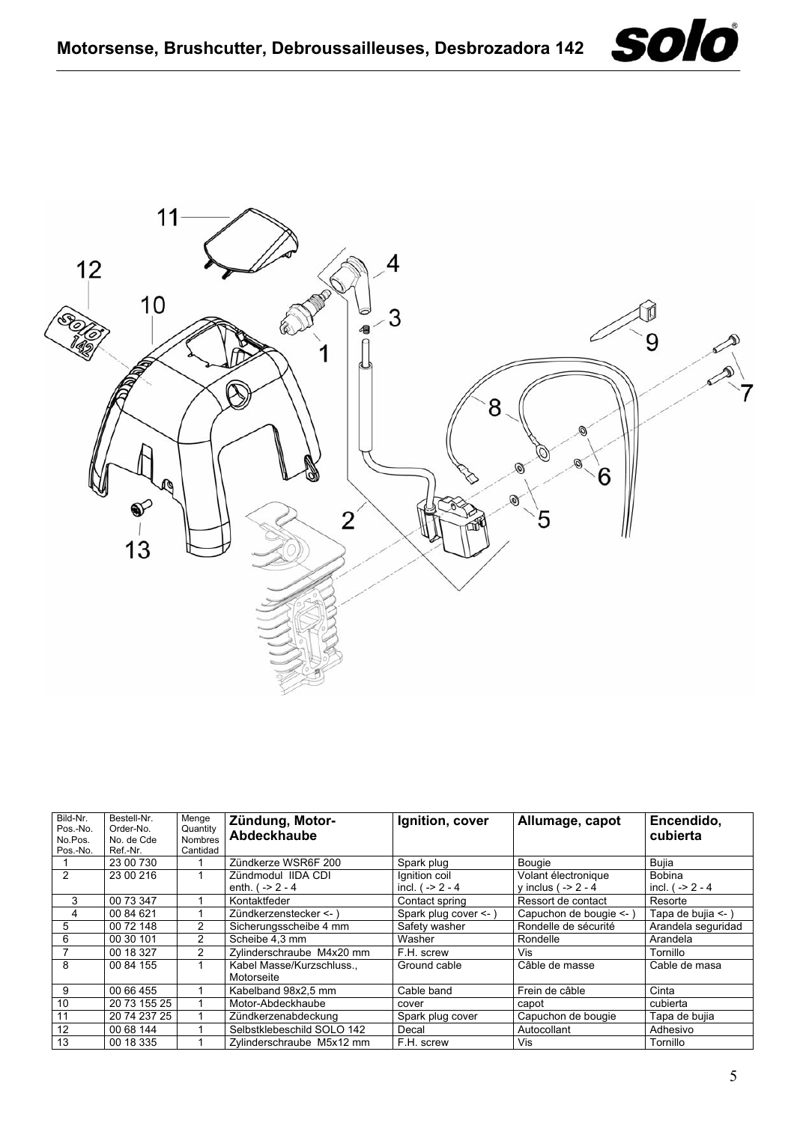

| Bild-Nr.<br>Pos.-No.<br>No.Pos.<br>Pos.-No. | Bestell-Nr.<br>Order-No.<br>No. de Cde<br>Ref.-Nr. | Menge<br>Quantity<br><b>Nombres</b><br>Cantidad | Zündung, Motor-<br>Abdeckhaube          | Ignition, cover         | Allumage, capot        | Encendido,<br>cubierta |
|---------------------------------------------|----------------------------------------------------|-------------------------------------------------|-----------------------------------------|-------------------------|------------------------|------------------------|
|                                             | 23 00 730                                          |                                                 | Zündkerze WSR6F 200                     | Spark plug              | Bougie                 | Bujia                  |
| 2                                           | 23 00 216                                          |                                                 | Zündmodul IIDA CDI                      | Ignition coil           | Volant électronique    | <b>Bobina</b>          |
|                                             |                                                    |                                                 | enth. $( -2 - 4)$                       | incl. $( -2 - 4)$       | y inclus ( $-$ > 2 - 4 | incl. $( -2 - 4)$      |
| 3                                           | 00 73 347                                          |                                                 | Kontaktfeder                            | Contact spring          | Ressort de contact     | Resorte                |
| 4                                           | 00 84 621                                          |                                                 | Zündkerzenstecker <- )                  | Spark plug cover $\leq$ | Capuchon de bougie <-  | Tapa de bujia <- )     |
| 5                                           | 00 72 148                                          | $\overline{2}$                                  | Sicherungsscheibe 4 mm                  | Safety washer           | Rondelle de sécurité   | Arandela seguridad     |
| 6                                           | 00 30 101                                          | 2                                               | Scheibe 4,3 mm                          | Washer                  | Rondelle               | Arandela               |
|                                             | 00 18 327                                          | 2                                               | Zylinderschraube M4x20 mm               | F.H. screw              | Vis                    | Tornillo               |
| 8                                           | 00 84 155                                          |                                                 | Kabel Masse/Kurzschluss.,<br>Motorseite | Ground cable            | Câble de masse         | Cable de masa          |
| 9                                           | 00 66 455                                          |                                                 | Kabelband 98x2.5 mm                     | Cable band              | Frein de câble         | Cinta                  |
| 10                                          | 20 73 155 25                                       |                                                 | Motor-Abdeckhaube                       | cover                   | capot                  | cubierta               |
| 11                                          | 20 74 237 25                                       |                                                 | Zündkerzenabdeckung                     | Spark plug cover        | Capuchon de bougie     | Tapa de bujia          |
| 12                                          | 00 68 144                                          |                                                 | Selbstklebeschild SOLO 142              | Decal                   | Autocollant            | Adhesivo               |
| 13                                          | 00 18 335                                          |                                                 | Zvlinderschraube M5x12 mm               | F.H. screw              | Vis                    | Tornillo               |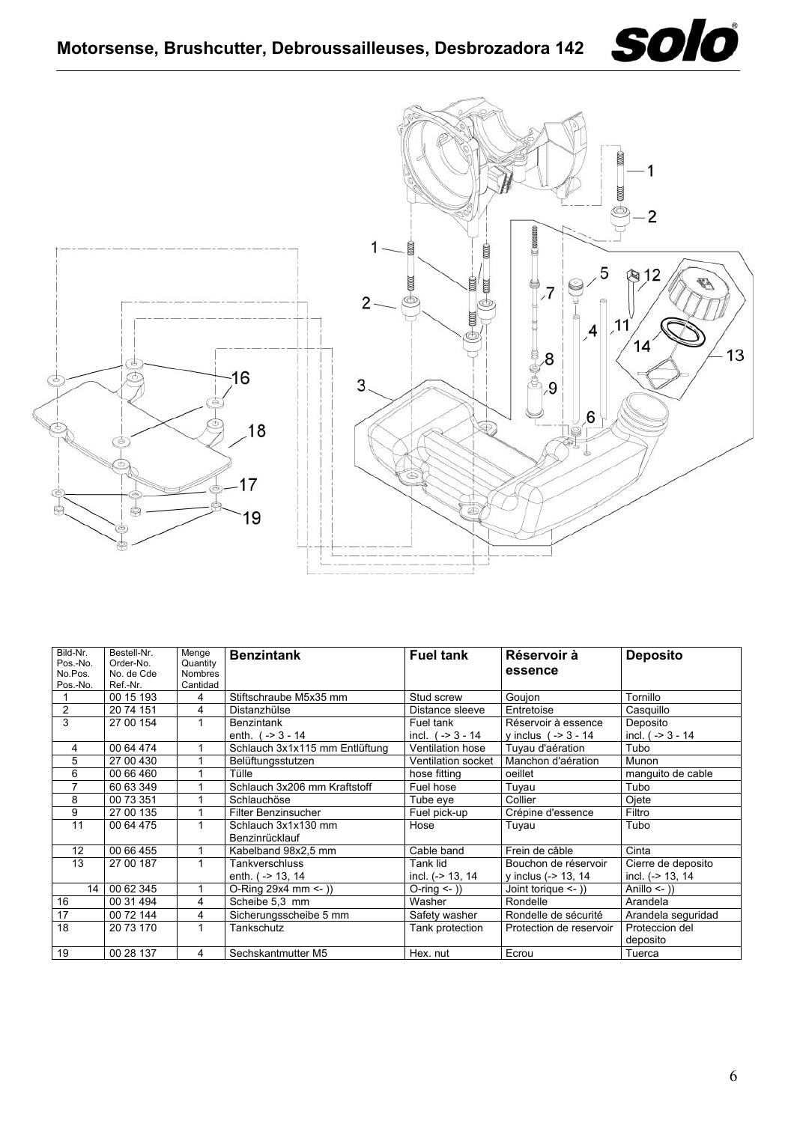





| Bild-Nr.<br>Pos.-No.<br>No.Pos.<br>Pos.-No. | Bestell-Nr.<br>Order-No.<br>No. de Cde<br>Ref.-Nr. | Menge<br>Quantity<br><b>Nombres</b><br>Cantidad | <b>Benzintank</b>                             | <b>Fuel tank</b>                   | Réservoir à<br>essence                         | <b>Deposito</b>                        |
|---------------------------------------------|----------------------------------------------------|-------------------------------------------------|-----------------------------------------------|------------------------------------|------------------------------------------------|----------------------------------------|
|                                             | 00 15 193                                          | 4                                               | Stiftschraube M5x35 mm                        | Stud screw                         | Goujon                                         | Tornillo                               |
| $\overline{2}$                              | 20 74 151                                          | 4                                               | Distanzhülse                                  | Distance sleeve                    | Entretoise                                     | Casquillo                              |
| 3                                           | 27 00 154                                          | 1                                               | <b>Benzintank</b><br>enth. $(-3 - 14)$        | Fuel tank<br>incl. $(-3 - 3 - 14)$ | Réservoir à essence<br>y inclus $(-3 - 14)$    | Deposito<br>incl. $(-3 - 3 - 14)$      |
| 4                                           | 00 64 474                                          | 1                                               | Schlauch 3x1x115 mm Entlüftung                | Ventilation hose                   | Tuyau d'aération                               | Tubo                                   |
| 5                                           | 27 00 430                                          | 1                                               | Belüftungsstutzen                             | <b>Ventilation socket</b>          | Manchon d'aération                             | Munon                                  |
| 6                                           | 00 66 460                                          |                                                 | Tülle                                         | hose fitting                       | oeillet                                        | manguito de cable                      |
| $\overline{7}$                              | 60 63 349                                          | 1                                               | Schlauch 3x206 mm Kraftstoff                  | Fuel hose                          | Tuyau                                          | Tubo                                   |
| 8                                           | 00 73 351                                          |                                                 | Schlauchöse                                   | Tube eye                           | Collier                                        | Ojete                                  |
| 9                                           | 27 00 135                                          | 1                                               | <b>Filter Benzinsucher</b>                    | Fuel pick-up                       | Crépine d'essence                              | Filtro                                 |
| 11                                          | 00 64 475                                          | 1                                               | Schlauch 3x1x130 mm<br>Benzinrücklauf         | Hose                               | Tuyau                                          | Tubo                                   |
| 12                                          | 00 66 455                                          |                                                 | Kabelband 98x2,5 mm                           | Cable band                         | Frein de câble                                 | Cinta                                  |
| 13                                          | 27 00 187                                          | 1                                               | <b>Tankverschluss</b><br>enth. $( -2 13, 14 $ | Tank lid<br>incl. (-> 13, 14       | Bouchon de réservoir<br>y inclus $(-> 13, 14)$ | Cierre de deposito<br>incl. (-> 13, 14 |
| 14 <sup>1</sup>                             | 00 62 345                                          | 1                                               | O-Ring $29x4$ mm <- ))                        | $O\text{-ring}(-)$                 | Joint torique $\leq$ ))                        | Anillo $\leq$ .)                       |
| 16                                          | 00 31 494                                          | 4                                               | Scheibe 5,3 mm                                | Washer                             | Rondelle                                       | Arandela                               |
| 17                                          | 00 72 144                                          | 4                                               | Sicherungsscheibe 5 mm                        | Safety washer                      | Rondelle de sécurité                           | Arandela seguridad                     |
| 18                                          | 20 73 170                                          | 1                                               | Tankschutz                                    | Tank protection                    | Protection de reservoir                        | Proteccion del<br>deposito             |
| 19                                          | 00 28 137                                          | 4                                               | Sechskantmutter M5                            | Hex. nut                           | Ecrou                                          | Tuerca                                 |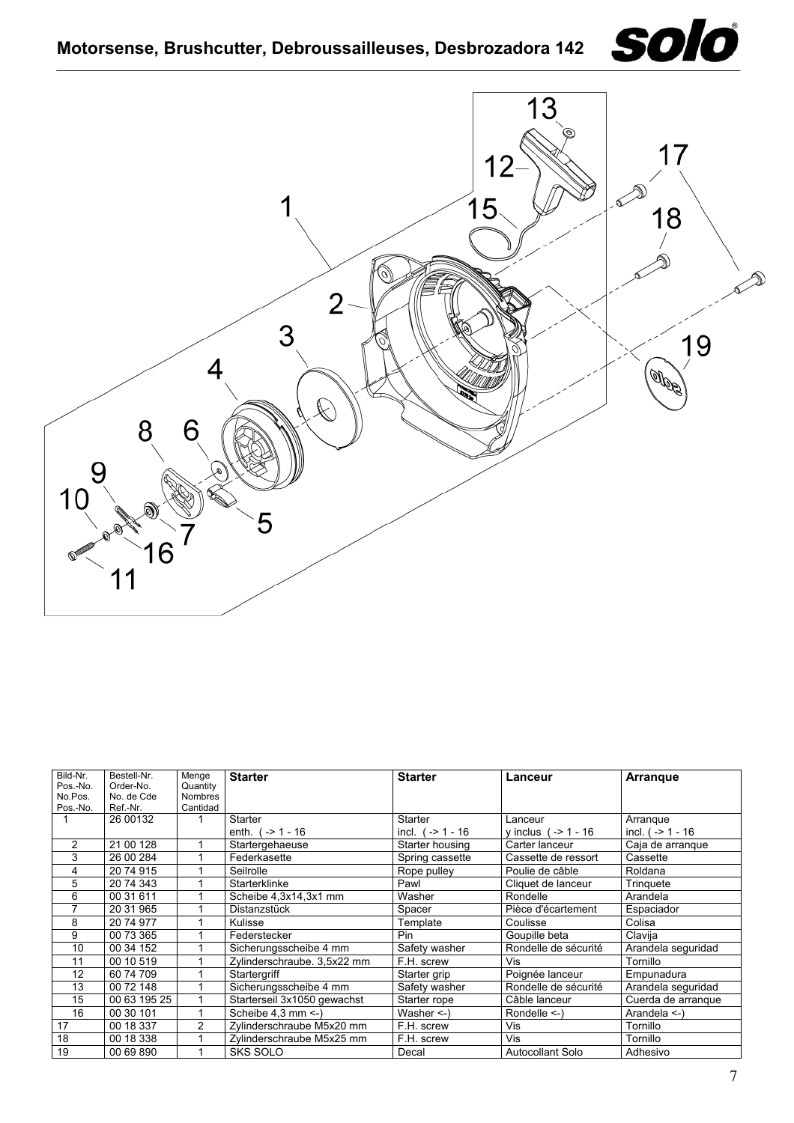





| Bild-Nr.<br>Pos.-No.<br>No.Pos.<br>Pos.-No. | Bestell-Nr.<br>Order-No.<br>No. de Cde<br>Ref.-Nr. | Menge<br>Quantity<br><b>Nombres</b><br>Cantidad | <b>Starter</b>              | <b>Starter</b>      | Lanceur               | <b>Arrangue</b>     |
|---------------------------------------------|----------------------------------------------------|-------------------------------------------------|-----------------------------|---------------------|-----------------------|---------------------|
|                                             | 26 00132                                           |                                                 | <b>Starter</b>              | Starter             | Lanceur               | Arrangue            |
|                                             |                                                    |                                                 | enth. $( -2 1 - 16$         | incl. $(-2)$ 1 - 16 | y inclus $(-2 1 - 16$ | incl. $( -2 1 - 16$ |
| 2                                           | 21 00 128                                          |                                                 | Startergehaeuse             | Starter housing     | Carter lanceur        | Caja de arranque    |
| 3                                           | 26 00 284                                          |                                                 | Federkasette                | Spring cassette     | Cassette de ressort   | Cassette            |
| 4                                           | 20 74 915                                          |                                                 | Seilrolle                   | Rope pulley         | Poulie de câble       | Roldana             |
| 5                                           | 20 74 343                                          |                                                 | Starterklinke               | Pawl                | Cliquet de lanceur    | Tringuete           |
| 6                                           | 00 31 611                                          |                                                 | Scheibe 4,3x14,3x1 mm       | Washer              | Rondelle              | Arandela            |
| 7                                           | 20 31 965                                          |                                                 | Distanzstück                | Spacer              | Pièce d'écartement    | Espaciador          |
| 8                                           | 20 74 977                                          |                                                 | Kulisse                     | Template            | Coulisse              | Colisa              |
| 9                                           | 00 73 365                                          |                                                 | Federstecker                | Pin                 | Goupille beta         | Clavija             |
| 10                                          | 00 34 152                                          |                                                 | Sicherungsscheibe 4 mm      | Safety washer       | Rondelle de sécurité  | Arandela seguridad  |
| 11                                          | 00 10 519                                          |                                                 | Zylinderschraube. 3,5x22 mm | F.H. screw          | Vis                   | Tornillo            |
| 12                                          | 60 74 709                                          |                                                 | Startergriff                | Starter grip        | Poignée lanceur       | Empunadura          |
| 13                                          | 00 72 148                                          |                                                 | Sicherungsscheibe 4 mm      | Safety washer       | Rondelle de sécurité  | Arandela seguridad  |
| 15                                          | 00 63 195 25                                       |                                                 | Starterseil 3x1050 gewachst | Starter rope        | Câble lanceur         | Cuerda de arrangue  |
| 16                                          | 00 30 101                                          |                                                 | Scheibe 4.3 mm <- )         | Washer $\leq$ -)    | Rondelle <-)          | Arandela <- )       |
| 17                                          | 00 18 337                                          | $\overline{2}$                                  | Zylinderschraube M5x20 mm   | F.H. screw          | Vis                   | Tornillo            |
| 18                                          | 00 18 338                                          |                                                 | Zylinderschraube M5x25 mm   | F.H. screw          | Vis                   | Tornillo            |
| 19                                          | 00 69 890                                          |                                                 | SKS SOLO                    | Decal               | Autocollant Solo      | Adhesivo            |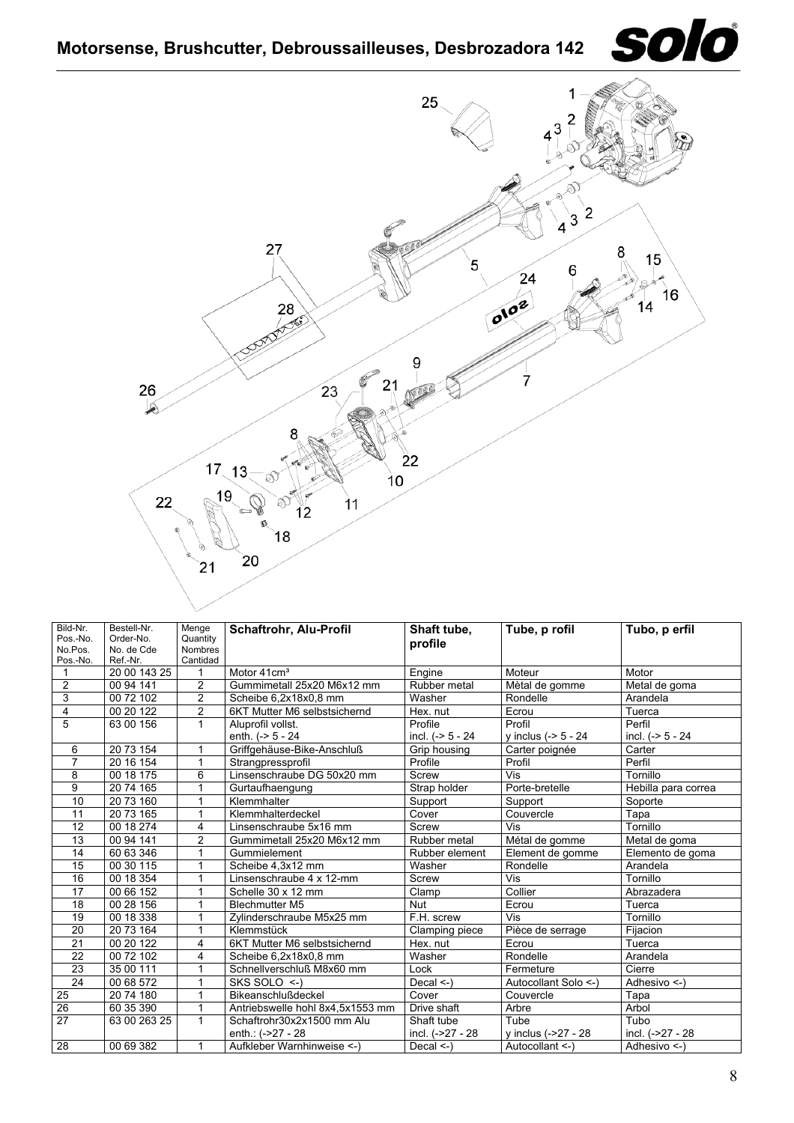





| Bild-Nr.            | Bestell-Nr.            | Menge                      | <b>Schaftrohr, Alu-Profil</b>    | Shaft tube,           | Tube, p rofil             | Tubo, p erfil         |
|---------------------|------------------------|----------------------------|----------------------------------|-----------------------|---------------------------|-----------------------|
| Pos.-No.            | Order-No.              | Quantity                   |                                  | profile               |                           |                       |
| No.Pos.<br>Pos.-No. | No. de Cde<br>Ref.-Nr. | <b>Nombres</b><br>Cantidad |                                  |                       |                           |                       |
|                     | 20 00 143 25           | $\mathbf{1}$               | Motor 41cm <sup>3</sup>          | Engine                | Moteur                    | Motor                 |
| $\overline{2}$      | 00 94 141              | $\overline{2}$             | Gummimetall 25x20 M6x12 mm       | Rubber metal          | Mètal de gomme            | Metal de goma         |
| $\overline{3}$      | 00 72 102              | $\overline{2}$             | Scheibe 6,2x18x0,8 mm            | Washer                | Rondelle                  | Arandela              |
| 4                   | 00 20 122              | $\overline{2}$             | 6KT Mutter M6 selbstsichernd     | Hex. nut              | Ecrou                     | Tuerca                |
| 5                   | 63 00 156              | 1                          | Aluprofil vollst.                | Profile               | Profil                    | Perfil                |
|                     |                        |                            | enth. $(-5 - 24)$                | incl. $(-5 - 5 - 24)$ | v inclus $(-5 - 24)$      | incl. $(-5 - 5 - 24)$ |
| 6                   | 20 73 154              | 1                          | Griffgehäuse-Bike-Anschluß       | Grip housing          | Carter poignée            | Carter                |
| $\overline{7}$      | 20 16 154              | 1                          | Strangpressprofil                | Profile               | Profil                    | Perfil                |
| 8                   | 00 18 175              | 6                          | Linsenschraube DG 50x20 mm       | Screw                 | $\overline{\mathsf{Vis}}$ | Tornillo              |
| 9                   | 20 74 165              | 1                          | Gurtaufhaengung                  | Strap holder          | Porte-bretelle            | Hebilla para correa   |
| 10                  | 20 73 160              | 1                          | Klemmhalter                      | Support               | Support                   | Soporte               |
| 11                  | 20 73 165              | 1                          | Klemmhalterdeckel                | Cover                 | Couvercle                 | Tapa                  |
| 12                  | 00 18 274              | 4                          | Linsenschraube 5x16 mm           | Screw                 | Vis                       | Tornillo              |
| 13                  | 00 94 141              | $\overline{2}$             | Gummimetall 25x20 M6x12 mm       | Rubber metal          | Métal de gomme            | Metal de goma         |
| 14                  | 60 63 346              | 1                          | Gummielement                     | Rubber element        | Element de gomme          | Elemento de goma      |
| 15                  | 00 30 115              | 1                          | Scheibe 4,3x12 mm                | Washer                | Rondelle                  | Arandela              |
| 16                  | 00 18 354              | 1                          | Linsenschraube 4 x 12-mm         | Screw                 | Vis                       | Tornillo              |
| 17                  | 00 66 152              | 1                          | Schelle 30 x 12 mm               | Clamp                 | Collier                   | Abrazadera            |
| 18                  | 00 28 156              | 1                          | <b>Blechmutter M5</b>            | Nut                   | Ecrou                     | Tuerca                |
| 19                  | 00 18 338              | 1                          | Zylinderschraube M5x25 mm        | F.H. screw            | Vis                       | Tornillo              |
| 20                  | 20 73 164              | 1                          | Klemmstück                       | Clamping piece        | Pièce de serrage          | Fijacion              |
| 21                  | 00 20 122              | 4                          | 6KT Mutter M6 selbstsichernd     | Hex. nut              | Ecrou                     | Tuerca                |
| 22                  | 00 72 102              | 4                          | Scheibe 6,2x18x0,8 mm            | Washer                | Rondelle                  | Arandela              |
| 23                  | 35 00 111              | 1                          | Schnellverschluß M8x60 mm        | Lock                  | Fermeture                 | Cierre                |
| $\overline{24}$     | 00 68 572              | 1                          | SKS SOLO $\le$                   | Decal $\leq$ )        | Autocollant Solo <- )     | Adhesivo <-)          |
| 25                  | 20 74 180              | 1                          | Bikeanschlußdeckel               | Cover                 | Couvercle                 | Tapa                  |
| 26                  | 60 35 390              | 1                          | Antriebswelle hohl 8x4,5x1553 mm | Drive shaft           | Arbre                     | Arbol                 |
| 27                  | 63 00 263 25           | $\mathbf{1}$               | Schaftrohr30x2x1500 mm Alu       | Shaft tube            | Tube                      | Tubo                  |
|                     |                        |                            | enth.: (->27 - 28                | incl. (->27 - 28      | y inclus (->27 - 28       | incl. (->27 - 28      |
| 28                  | 00 69 382              | 1                          | Aufkleber Warnhinweise <- )      | Decal $\le$ -)        | Autocollant <- )          | Adhesivo <-)          |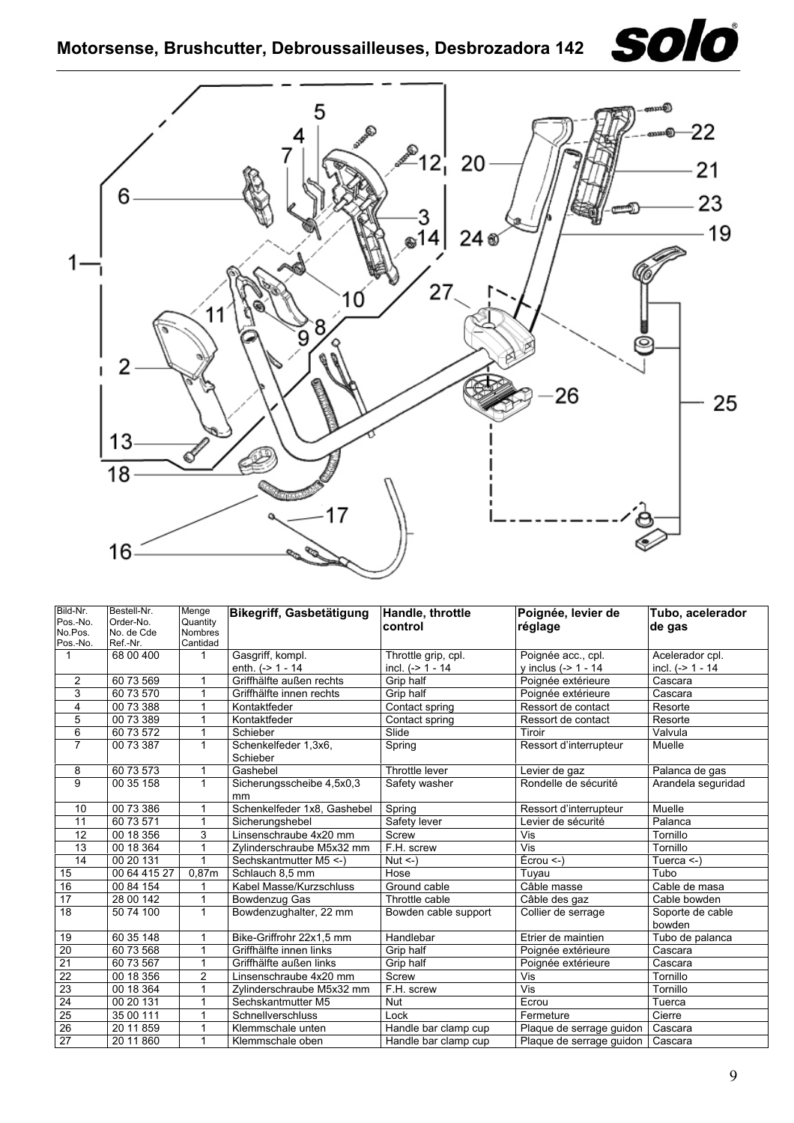





| Bild-Nr.        | Bestell-Nr.  | Menge             | Bikegriff, Gasbetätigung    | Handle, throttle     | Poignée, levier de       | Tubo, acelerador   |
|-----------------|--------------|-------------------|-----------------------------|----------------------|--------------------------|--------------------|
| Pos.-No.        | Order-No.    | Quantity          |                             | control              | réglage                  | de gas             |
| No.Pos.         | No. de Cde   | Nombres           |                             |                      |                          |                    |
| Pos.-No.        | Ref.-Nr.     | Cantidad          |                             |                      |                          |                    |
| $\mathbf 1$     | 68 00 400    | 1                 | Gasgriff, kompl.            | Throttle grip, cpl.  | Poignée acc., cpl.       | Acelerador cpl.    |
|                 |              |                   | enth. $(-> 1 - 14)$         | incl. $(-> 1 - 14)$  | y inclus $(-2 1 - 14$    | incl. $(-> 1 - 14$ |
| 2               | 60 73 569    | 1                 | Griffhälfte außen rechts    | Grip half            | Poignée extérieure       | Cascara            |
| 3               | 60 73 570    | $\mathbf{1}$      | Griffhälfte innen rechts    | Grip half            | Poignée extérieure       | Cascara            |
| 4               | 00 73 388    | 1                 | Kontaktfeder                | Contact spring       | Ressort de contact       | Resorte            |
| 5               | 00 73 389    | $\overline{1}$    | Kontaktfeder                | Contact spring       | Ressort de contact       | Resorte            |
| 6               | 60 73 572    | $\overline{1}$    | Schieber                    | Slide                | Tiroir                   | Valvula            |
| $\overline{7}$  | 00 73 387    | $\mathbf 1$       | Schenkelfeder 1,3x6,        | Spring               | Ressort d'interrupteur   | Muelle             |
|                 |              |                   | Schieber                    |                      |                          |                    |
| 8               | 60 73 573    | $\mathbf{1}$      | Gashebel                    | Throttle lever       | Levier de gaz            | Palanca de gas     |
| 9               | 00 35 158    | $\mathbf{1}$      | Sicherungsscheibe 4,5x0,3   | Safety washer        | Rondelle de sécurité     | Arandela seguridad |
|                 |              |                   | mm                          |                      |                          |                    |
| 10              | 00 73 386    | $\mathbf{1}$      | Schenkelfeder 1x8, Gashebel | Spring               | Ressort d'interrupteur   | Muelle             |
| 11              | 60 73 571    | $\overline{1}$    | Sicherungshebel             | Safety lever         | Levier de sécurité       | Palanca            |
| 12              | 00 18 356    | 3                 | Linsenschraube 4x20 mm      | Screw                | Vis                      | Tornillo           |
| $\overline{13}$ | 00 18 364    | 1                 | Zylinderschraube M5x32 mm   | F.H. screw           | Vis                      | Tornillo           |
| 14              | 00 20 131    | $\mathbf{1}$      | Sechskantmutter M5 <- )     | Nut $\leq$ -)        | $Écrou < -$              | Tuerca $\leq$ -)   |
| 15              | 00 64 415 27 | 0.87 <sub>m</sub> | Schlauch 8.5 mm             | Hose                 | Tuyau                    | Tubo               |
| 16              | 00 84 154    |                   | Kabel Masse/Kurzschluss     | Ground cable         | Câble masse              | Cable de masa      |
| $\overline{17}$ | 28 00 142    | $\mathbf{1}$      | Bowdenzug Gas               | Throttle cable       | Câble des gaz            | Cable bowden       |
| 18              | 50 74 100    | $\mathbf{1}$      | Bowdenzughalter, 22 mm      | Bowden cable support | Collier de serrage       | Soporte de cable   |
|                 |              |                   |                             |                      |                          | bowden             |
| 19              | 60 35 148    |                   | Bike-Griffrohr 22x1,5 mm    | Handlebar            | Etrier de maintien       | Tubo de palanca    |
| 20              | 60 73 568    | $\overline{1}$    | Griffhälfte innen links     | Grip half            | Poignée extérieure       | Cascara            |
| $\overline{21}$ | 60 73 567    | 1                 | Griffhälfte außen links     | Grip half            | Poignée extérieure       | Cascara            |
| $\overline{22}$ | 00 18 356    | $\overline{2}$    | Linsenschraube 4x20 mm      | Screw                | Vis                      | Tornillo           |
| 23              | 00 18 364    | 1                 | Zylinderschraube M5x32 mm   | F.H. screw           | Vis                      | Tornillo           |
| $\overline{24}$ | 00 20 131    |                   | Sechskantmutter M5          | <b>Nut</b>           | Ecrou                    | Tuerca             |
| $\overline{25}$ | 35 00 111    |                   | Schnellverschluss           | Lock                 | Fermeture                | Cierre             |
| 26              | 20 11 859    | 1                 | Klemmschale unten           | Handle bar clamp cup | Plaque de serrage guidon | Cascara            |
| $\overline{27}$ | 20 11 860    |                   | Klemmschale oben            | Handle bar clamp cup | Plaque de serrage guidon | Cascara            |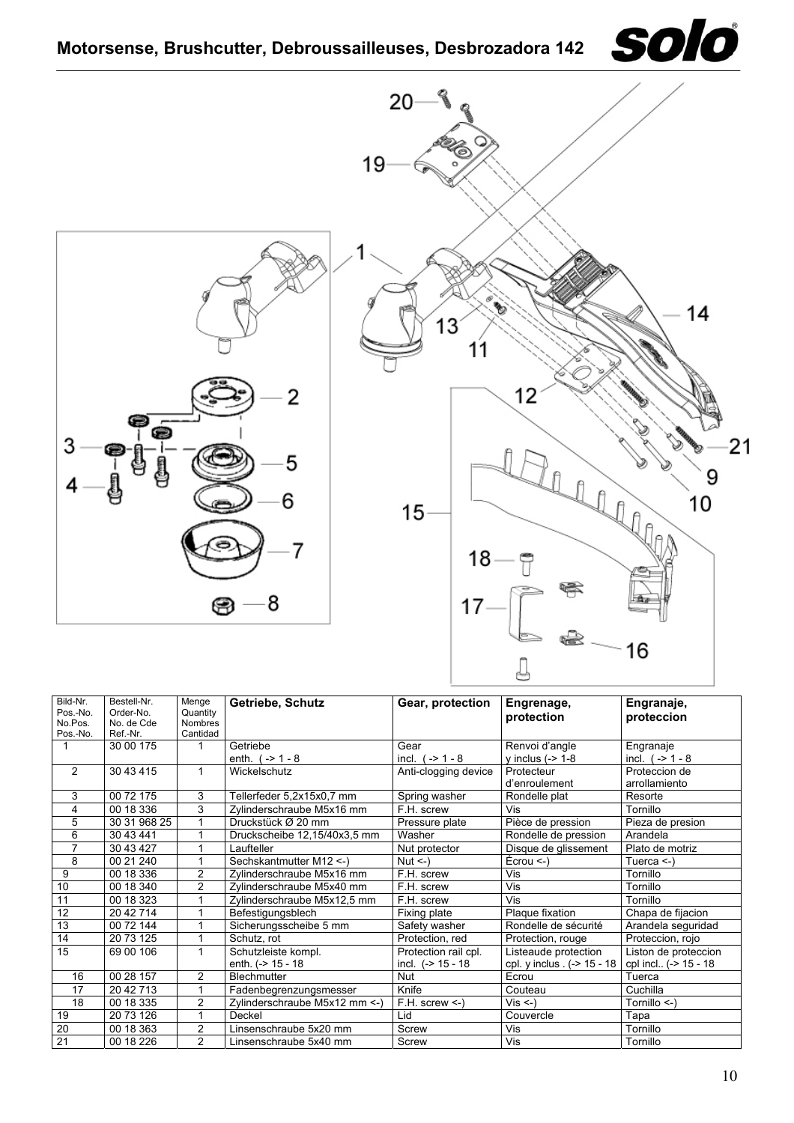| Bild-Nr.<br>Pos.-No. | Bestell-Nr.<br>Order-No. | Menge<br>Quantity | Getriebe, Schutz               | Gear, protection       | Engrenage,                   | Engranaje,           |
|----------------------|--------------------------|-------------------|--------------------------------|------------------------|------------------------------|----------------------|
| No.Pos.              | No. de Cde               | <b>Nombres</b>    |                                |                        | protection                   | proteccion           |
| Pos.-No.             | Ref.-Nr.                 | Cantidad          |                                |                        |                              |                      |
|                      | 30 00 175                |                   | Getriebe                       | Gear                   | Renvoi d'angle               | Engranaje            |
|                      |                          |                   | enth. $(->1 - 8)$              | incl. $(-2) - 1 - 8$   | y inclus $(-2)$ 1-8          | incl. $(->1 - 8)$    |
| 2                    | 30 43 415                | 1                 | Wickelschutz                   | Anti-clogging device   | Protecteur                   | Proteccion de        |
|                      |                          |                   |                                |                        | d'enroulement                | arrollamiento        |
| 3                    | 00 72 175                | 3                 | Tellerfeder 5,2x15x0,7 mm      | Spring washer          | Rondelle plat                | Resorte              |
| 4                    | 00 18 336                | 3                 | Zylinderschraube M5x16 mm      | F.H. screw             | Vis                          | Tornillo             |
| 5                    | 30 31 968 25             |                   | Druckstück Ø 20 mm             | Pressure plate         | Pièce de pression            | Pieza de presion     |
| 6                    | 30 43 441                |                   | Druckscheibe 12,15/40x3,5 mm   | Washer                 | Rondelle de pression         | Arandela             |
| 7                    | 30 43 427                |                   | Laufteller                     | Nut protector          | Disque de glissement         | Plato de motriz      |
| 8                    | 00 21 240                |                   | Sechskantmutter M12 <-)        | $Nut < -$ )            | $Écrou < -$ )                | Tuerca $\leq$ -)     |
| 9                    | 00 18 336                | $\overline{2}$    | Zylinderschraube M5x16 mm      | F.H. screw             | Vis                          | Tornillo             |
| 10                   | 00 18 340                | $\overline{2}$    | Zylinderschraube M5x40 mm      | F.H. screw             | Vis                          | Tornillo             |
| 11                   | 00 18 323                |                   | Zylinderschraube M5x12,5 mm    | F.H. screw             | Vis                          | Tornillo             |
| 12                   | 20 42 714                |                   | Befestigungsblech              | Fixing plate           | Plaque fixation              | Chapa de fijacion    |
| 13                   | 00 72 144                |                   | Sicherungsscheibe 5 mm         | Safety washer          | Rondelle de sécurité         | Arandela seguridad   |
| 14                   | 20 73 125                |                   | Schutz, rot                    | Protection, red        | Protection, rouge            | Proteccion, rojo     |
| 15                   | 69 00 106                | 1                 | Schutzleiste kompl.            | Protection rail cpl.   | Listeaude protection         | Liston de proteccion |
|                      |                          |                   | enth. (-> 15 - 18              | incl. $(-> 15 - 18$    | cpl. y inclus $(-> 15 - 18)$ | cpl incl (-> 15 - 18 |
| 16                   | 00 28 157                | $\overline{2}$    | <b>Blechmutter</b>             | <b>Nut</b>             | Ecrou                        | Tuerca               |
| 17                   | 20 42 713                |                   | Fadenbegrenzungsmesser         | Knife                  | Couteau                      | Cuchilla             |
| 18                   | 00 18 335                | $\overline{c}$    | Zylinderschraube M5x12 mm <- ) | $F.H.$ screw $\leq$ -) | $Vis < -$                    | Tornillo <-)         |
| 19                   | 20 73 126                |                   | Deckel                         | Lid                    | Couvercle                    | Tapa                 |
| 20                   | 00 18 363                | $\overline{2}$    | Linsenschraube 5x20 mm         | Screw                  | Vis                          | Tornillo             |
| 21                   | 00 18 226                | $\overline{2}$    | Linsenschraube 5x40 mm         | Screw                  | Vis                          | Tornillo             |



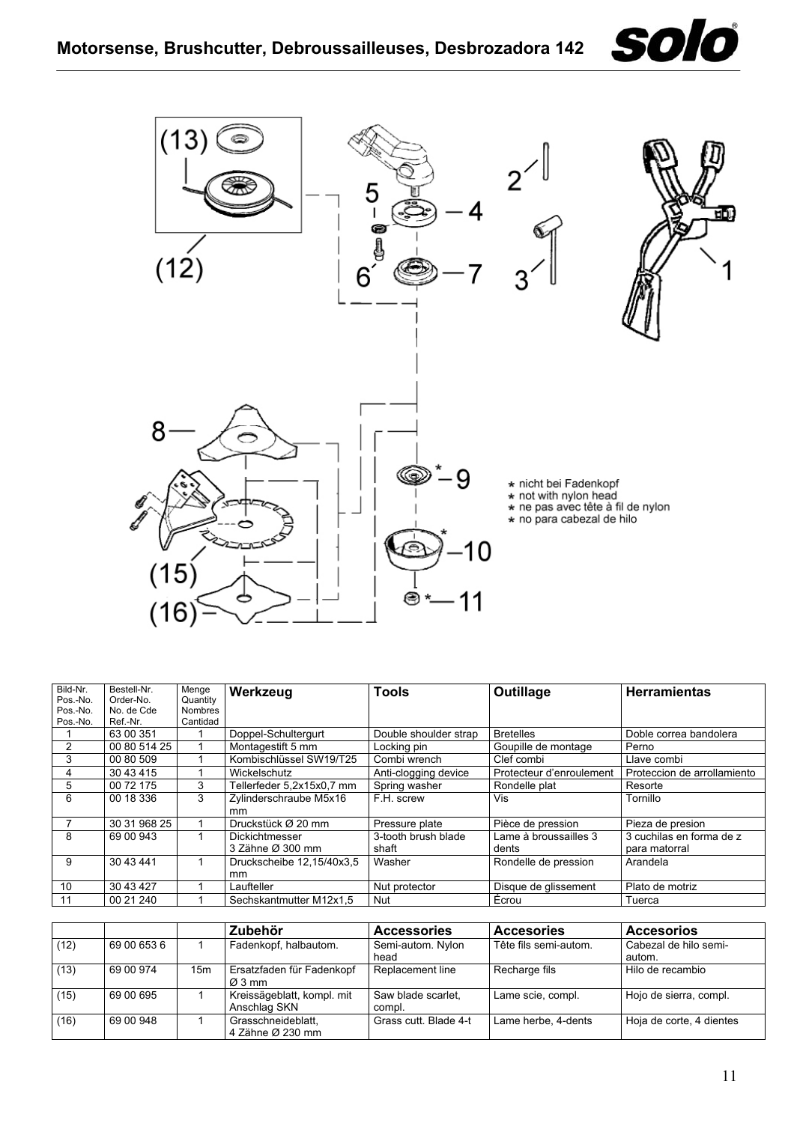



| Bild-Nr.<br>Pos.-No. | Bestell-Nr.<br>Order-No. | Menge<br>Quantity | Werkzeug                  | <b>Tools</b>          | Outillage                | <b>Herramientas</b>         |
|----------------------|--------------------------|-------------------|---------------------------|-----------------------|--------------------------|-----------------------------|
| Pos.-No.             | No. de Cde               | <b>Nombres</b>    |                           |                       |                          |                             |
| Pos.-No.             | Ref.-Nr.                 | Cantidad          |                           |                       |                          |                             |
|                      | 63 00 351                |                   | Doppel-Schultergurt       | Double shoulder strap | <b>Bretelles</b>         | Doble correa bandolera      |
| 2                    | 00 80 514 25             |                   | Montagestift 5 mm         | Locking pin           | Goupille de montage      | Perno                       |
|                      | 00 80 509                |                   | Kombischlüssel SW19/T25   | Combi wrench          | Clef combi               | Llave combi                 |
| 4                    | 30 43 415                |                   | Wickelschutz              | Anti-clogging device  | Protecteur d'enroulement | Proteccion de arrollamiento |
| 5                    | 00 72 175                | 3                 | Tellerfeder 5,2x15x0,7 mm | Spring washer         | Rondelle plat            | Resorte                     |
| 6                    | 00 18 336                | 3                 | Zylinderschraube M5x16    | F.H. screw            | Vis                      | Tornillo                    |
|                      |                          |                   | mm                        |                       |                          |                             |
|                      | 30 31 968 25             |                   | Druckstück Ø 20 mm        | Pressure plate        | Pièce de pression        | Pieza de presion            |
| 8                    | 69 00 943                |                   | <b>Dickichtmesser</b>     | 3-tooth brush blade   | Lame à broussailles 3    | 3 cuchilas en forma de z    |
|                      |                          |                   | 3 Zähne Ø 300 mm          | shaft                 | dents                    | para matorral               |
| 9                    | 30 43 441                |                   | Druckscheibe 12,15/40x3,5 | Washer                | Rondelle de pression     | Arandela                    |
|                      |                          |                   | mm                        |                       |                          |                             |
| 10                   | 30 43 427                |                   | Laufteller                | Nut protector         | Disque de glissement     | Plato de motriz             |
| 11                   | 00 21 240                |                   | Sechskantmutter M12x1.5   | <b>Nut</b>            | Ecrou                    | Tuerca                      |

|      |             |     | <b>Zubehör</b>                             | <b>Accessories</b>           | <b>Accesories</b>     | <b>Accesorios</b>               |
|------|-------------|-----|--------------------------------------------|------------------------------|-----------------------|---------------------------------|
| (12) | 69 00 653 6 |     | Fadenkopf, halbautom.                      | Semi-autom. Nylon<br>head    | Tête fils semi-autom. | Cabezal de hilo semi-<br>autom. |
| (13) | 69 00 974   | 15m | Ersatzfaden für Fadenkopf<br>Ø3 mm         | Replacement line             | Recharge fils         | Hilo de recambio                |
| (15) | 69 00 695   |     | Kreissägeblatt, kompl. mit<br>Anschlag SKN | Saw blade scarlet.<br>compl. | Lame scie, compl.     | Hojo de sierra, compl.          |
| (16) | 69 00 948   |     | Grasschneideblatt.<br>4 Zähne Ø 230 mm     | Grass cutt. Blade 4-t        | Lame herbe, 4-dents   | Hoja de corte, 4 dientes        |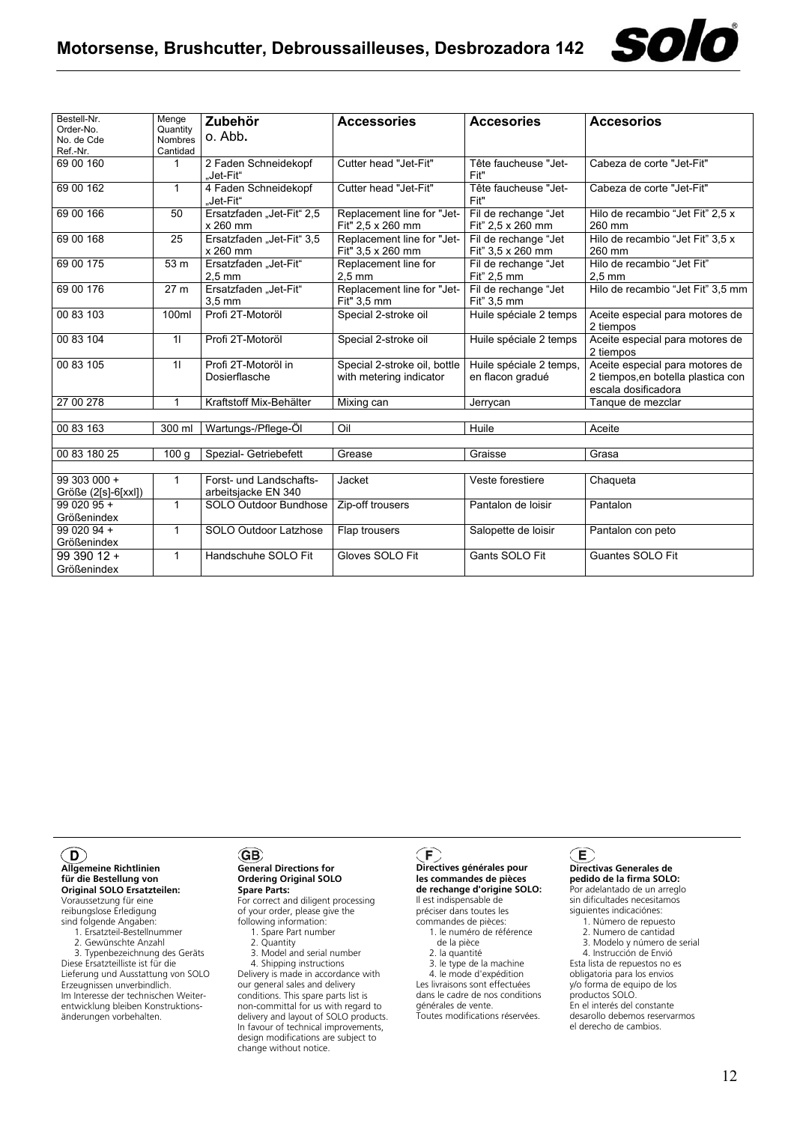## **Motorsense, Brushcutter, Debroussailleuses, Desbrozadora 142**



| Bestell-Nr.<br>Order-No.<br>No. de Cde | Menge<br>Quantity<br><b>Nombres</b> | Zubehör<br>o. Abb.                    | <b>Accessories</b>                                      | <b>Accesories</b>                           | <b>Accesorios</b>                                                                            |  |  |
|----------------------------------------|-------------------------------------|---------------------------------------|---------------------------------------------------------|---------------------------------------------|----------------------------------------------------------------------------------------------|--|--|
| Ref.-Nr.                               | Cantidad                            |                                       |                                                         |                                             |                                                                                              |  |  |
| 69 00 160                              | 1                                   | 2 Faden Schneidekopf<br>"Jet-Fit"     | Cutter head "Jet-Fit"                                   | Tête faucheuse "Jet-<br>Fit"                | Cabeza de corte "Jet-Fit"                                                                    |  |  |
| 69 00 162                              | $\mathbf{1}$                        | 4 Faden Schneidekopf<br>"Jet-Fit"     | Cutter head "Jet-Fit"                                   | Tête faucheuse "Jet-<br>Fit"                | Cabeza de corte "Jet-Fit"                                                                    |  |  |
| 69 00 166                              | 50                                  | Ersatzfaden "Jet-Fit" 2,5<br>x 260 mm | Replacement line for "Jet-<br>Fit" 2.5 x 260 mm         | Fil de rechange "Jet<br>Fit" 2.5 x 260 mm   | Hilo de recambio "Jet Fit" 2,5 x<br>260 mm                                                   |  |  |
| 69 00 168                              | 25                                  | Ersatzfaden "Jet-Fit" 3,5<br>x 260 mm | Replacement line for "Jet-<br>Fit" 3.5 x 260 mm         | Fil de rechange "Jet<br>Fit" 3,5 x 260 mm   | Hilo de recambio "Jet Fit" 3,5 x<br>260 mm                                                   |  |  |
| 69 00 175                              | 53 m                                | Ersatzfaden "Jet-Fit"<br>$2.5$ mm     | Replacement line for<br>$2.5$ mm                        | Fil de rechange "Jet<br>Fit" 2.5 mm         | Hilo de recambio "Jet Fit"<br>$2.5 \text{ mm}$                                               |  |  |
| 69 00 176                              | 27 <sub>m</sub>                     | Ersatzfaden "Jet-Fit"<br>$3.5$ mm     | Replacement line for "Jet-<br>Fit" 3,5 mm               | Fil de rechange "Jet<br>Fit" 3.5 mm         | Hilo de recambio "Jet Fit" 3,5 mm                                                            |  |  |
| 00 83 103                              | 100ml                               | Profi 2T-Motoröl                      | Special 2-stroke oil                                    | Huile spéciale 2 temps                      | Aceite especial para motores de<br>2 tiempos                                                 |  |  |
| 00 83 104                              | 11                                  | Profi 2T-Motoröl                      | Special 2-stroke oil                                    | Huile spéciale 2 temps                      | Aceite especial para motores de<br>2 tiempos                                                 |  |  |
| 00 83 105                              | 11                                  | Profi 2T-Motoröl in<br>Dosierflasche  | Special 2-stroke oil, bottle<br>with metering indicator | Huile spéciale 2 temps,<br>en flacon gradué | Aceite especial para motores de<br>2 tiempos, en botella plastica con<br>escala dosificadora |  |  |
| 27 00 278                              | 1                                   | Kraftstoff Mix-Behälter               | Mixing can                                              | Jerrycan                                    | Tanque de mezclar                                                                            |  |  |
|                                        |                                     |                                       |                                                         |                                             |                                                                                              |  |  |
| 00 83 163                              | 300 ml                              | Wartungs-/Pflege-Öl                   | Oil                                                     | Huile                                       | Aceite                                                                                       |  |  |
|                                        |                                     |                                       |                                                         |                                             |                                                                                              |  |  |
| 00 83 180 25                           | 100 <sub>g</sub>                    | Spezial- Getriebefett                 | Grease                                                  | Graisse                                     | Grasa                                                                                        |  |  |
| 99 303 000 +                           | $\mathbf{1}$                        | Forst- und Landschafts-               | Jacket                                                  | Veste forestiere                            | Chaqueta                                                                                     |  |  |
| Größe (2[s]-6[xxl])                    |                                     | arbeitsjacke EN 340                   |                                                         |                                             |                                                                                              |  |  |
| $9902095+$<br>Größenindex              | $\mathbf{1}$                        | SOLO Outdoor Bundhose                 | Zip-off trousers                                        | Pantalon de loisir                          | Pantalon                                                                                     |  |  |
| 99 020 94 +                            | $\mathbf{1}$                        | SOLO Outdoor Latzhose                 | Flap trousers                                           | Salopette de loisir                         | Pantalon con peto                                                                            |  |  |
| Größenindex                            |                                     |                                       |                                                         |                                             |                                                                                              |  |  |
| 99 390 12 +<br>Größenindex             | $\mathbf{1}$                        | Handschuhe SOLO Fit                   | Gloves SOLO Fit                                         | Gants SOLO Fit                              | Guantes SOLO Fit                                                                             |  |  |

 $\mathbf{D}$ 

### **Allgemeine Richtlinien für die Bestellung von Original SOLO Ersatzteilen:** Voraussetzung für eine

reibungslose Erledigung<br>sind folgende Angaben:

 1. Ersatzteil-Bestellnummer 2. Gewünschte Anzahl

 3. Typenbezeichnung des Geräts Diese Ersatzteilliste ist für die Lieferung und Ausstattung von SOLO Erzeugnissen unverbindlich. Im Interesse der technischen Weiterentwicklung bleiben Konstruktionsänderungen vorbehalten.

### **GB General Directions for Ordering Original SOLO Spare Parts:**

For correct and diligent processing of your order, please give the following information:

- 1. Spare Part number
- 2. Quantity

 3. Model and serial number 4. Shipping instructions

Delivery is made in accordance with our general sales and delivery conditions. This spare parts list is non-committal for us with regard to delivery and layout of SOLO products. In favour of technical improvements, design modifications are subject to change without notice.

## $\mathcal{F}$

### **Directives générales pour les commandes de pièces de rechange d'origine SOLO:**

Il est indispensable de préciser dans toutes les commandes de pièces:

 1. le numéro de référence de la pièce

- 2. la quantité
- 3. le type de la machine 4. le mode d'expédition

Les livraisons sont effectuées dans le cadre de nos conditions

générales de vente. Toutes modifications réservées.

## $\bigoplus$

### **Directivas Generales de pedido de la firma SOLO:**

Por adelantado de un arreglo sin dificultades necesitamos siguientes indicaciónes:

- 1. Número de repuesto 2. Numero de cantidad
- 3. Modelo y número de serial
- 4. Instrucción de Envió Esta lista de repuestos no es obligatoria para los envios

y/o forma de equipo de los productos SOLO. En el interés del constante desarollo debemos reservarmos

el derecho de cambios.